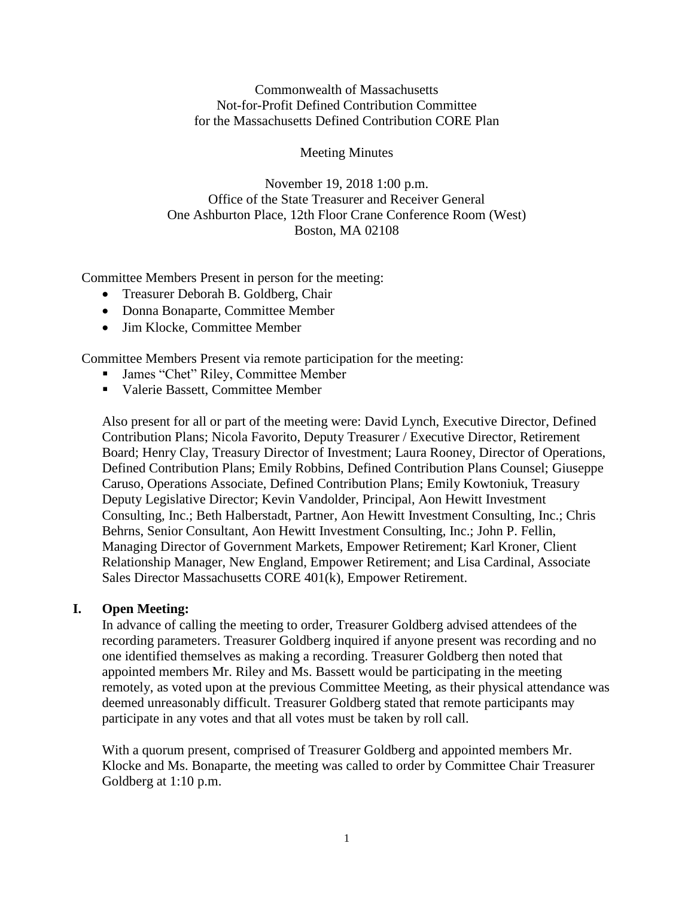Commonwealth of Massachusetts Not-for-Profit Defined Contribution Committee for the Massachusetts Defined Contribution CORE Plan

### Meeting Minutes

November 19, 2018 1:00 p.m. Office of the State Treasurer and Receiver General One Ashburton Place, 12th Floor Crane Conference Room (West) Boston, MA 02108

Committee Members Present in person for the meeting:

- Treasurer Deborah B. Goldberg, Chair
- Donna Bonaparte, Committee Member
- Jim Klocke, Committee Member

Committee Members Present via remote participation for the meeting:

- James "Chet" Riley, Committee Member
- Valerie Bassett, Committee Member

Also present for all or part of the meeting were: David Lynch, Executive Director, Defined Contribution Plans; Nicola Favorito, Deputy Treasurer / Executive Director, Retirement Board; Henry Clay, Treasury Director of Investment; Laura Rooney, Director of Operations, Defined Contribution Plans; Emily Robbins, Defined Contribution Plans Counsel; Giuseppe Caruso, Operations Associate, Defined Contribution Plans; Emily Kowtoniuk, Treasury Deputy Legislative Director; Kevin Vandolder, Principal, Aon Hewitt Investment Consulting, Inc.; Beth Halberstadt, Partner, Aon Hewitt Investment Consulting, Inc.; Chris Behrns, Senior Consultant, Aon Hewitt Investment Consulting, Inc.; John P. Fellin, Managing Director of Government Markets, Empower Retirement; Karl Kroner, Client Relationship Manager, New England, Empower Retirement; and Lisa Cardinal, Associate Sales Director Massachusetts CORE 401(k), Empower Retirement.

#### **I. Open Meeting:**

In advance of calling the meeting to order, Treasurer Goldberg advised attendees of the recording parameters. Treasurer Goldberg inquired if anyone present was recording and no one identified themselves as making a recording. Treasurer Goldberg then noted that appointed members Mr. Riley and Ms. Bassett would be participating in the meeting remotely, as voted upon at the previous Committee Meeting, as their physical attendance was deemed unreasonably difficult. Treasurer Goldberg stated that remote participants may participate in any votes and that all votes must be taken by roll call.

With a quorum present, comprised of Treasurer Goldberg and appointed members Mr. Klocke and Ms. Bonaparte, the meeting was called to order by Committee Chair Treasurer Goldberg at 1:10 p.m.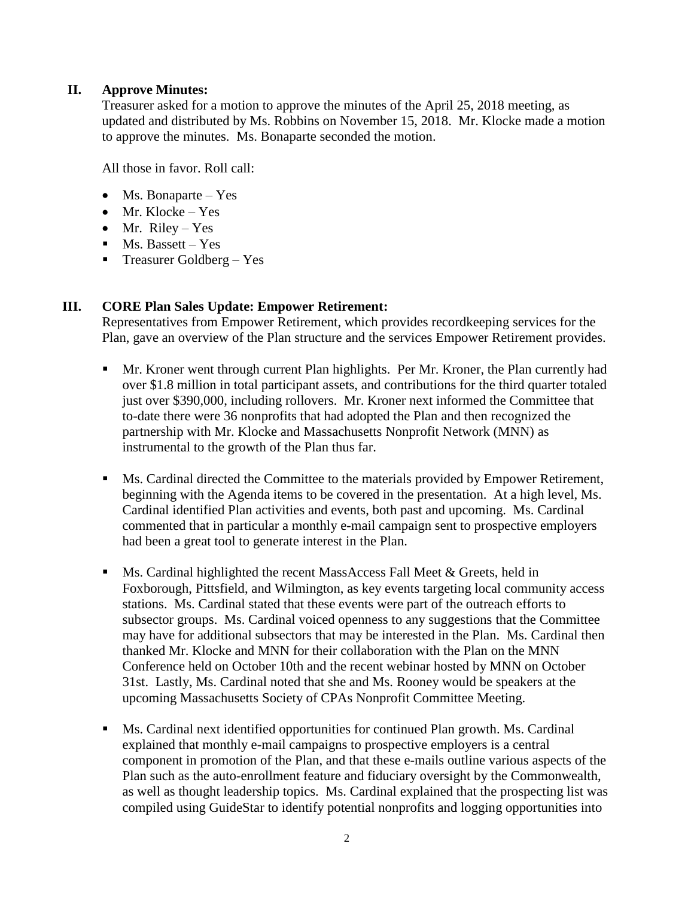# **II. Approve Minutes:**

Treasurer asked for a motion to approve the minutes of the April 25, 2018 meeting, as updated and distributed by Ms. Robbins on November 15, 2018. Mr. Klocke made a motion to approve the minutes. Ms. Bonaparte seconded the motion.

All those in favor. Roll call:

- Ms. Bonaparte Yes
- Mr. Klocke Yes
- Mr. Riley Yes
- $\blacksquare$  Ms. Bassett Yes
- **•** Treasurer Goldberg Yes

## **III. CORE Plan Sales Update: Empower Retirement:**

Representatives from Empower Retirement, which provides recordkeeping services for the Plan, gave an overview of the Plan structure and the services Empower Retirement provides.

- **■** Mr. Kroner went through current Plan highlights. Per Mr. Kroner, the Plan currently had over \$1.8 million in total participant assets, and contributions for the third quarter totaled just over \$390,000, including rollovers. Mr. Kroner next informed the Committee that to-date there were 36 nonprofits that had adopted the Plan and then recognized the partnership with Mr. Klocke and Massachusetts Nonprofit Network (MNN) as instrumental to the growth of the Plan thus far.
- **■** Ms. Cardinal directed the Committee to the materials provided by Empower Retirement, beginning with the Agenda items to be covered in the presentation. At a high level, Ms. Cardinal identified Plan activities and events, both past and upcoming. Ms. Cardinal commented that in particular a monthly e-mail campaign sent to prospective employers had been a great tool to generate interest in the Plan.
- **EXECUTE:** Ms. Cardinal highlighted the recent MassAccess Fall Meet & Greets, held in Foxborough, Pittsfield, and Wilmington, as key events targeting local community access stations. Ms. Cardinal stated that these events were part of the outreach efforts to subsector groups. Ms. Cardinal voiced openness to any suggestions that the Committee may have for additional subsectors that may be interested in the Plan. Ms. Cardinal then thanked Mr. Klocke and MNN for their collaboration with the Plan on the MNN Conference held on October 10th and the recent webinar hosted by MNN on October 31st. Lastly, Ms. Cardinal noted that she and Ms. Rooney would be speakers at the upcoming Massachusetts Society of CPAs Nonprofit Committee Meeting.
- Ms. Cardinal next identified opportunities for continued Plan growth. Ms. Cardinal explained that monthly e-mail campaigns to prospective employers is a central component in promotion of the Plan, and that these e-mails outline various aspects of the Plan such as the auto-enrollment feature and fiduciary oversight by the Commonwealth, as well as thought leadership topics. Ms. Cardinal explained that the prospecting list was compiled using GuideStar to identify potential nonprofits and logging opportunities into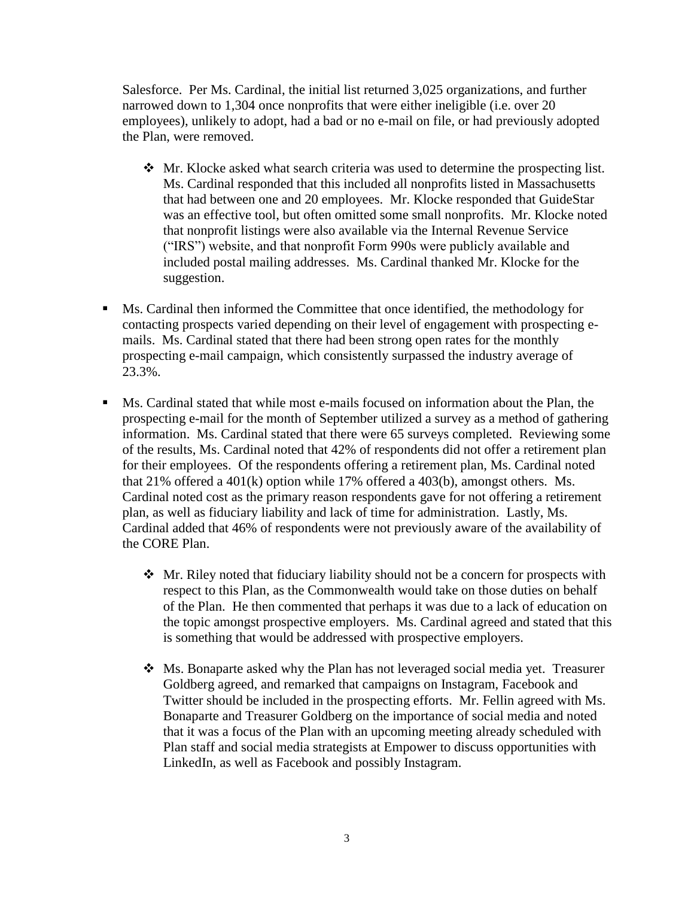Salesforce. Per Ms. Cardinal, the initial list returned 3,025 organizations, and further narrowed down to 1,304 once nonprofits that were either ineligible (i.e. over 20 employees), unlikely to adopt, had a bad or no e-mail on file, or had previously adopted the Plan, were removed.

- ❖ Mr. Klocke asked what search criteria was used to determine the prospecting list. Ms. Cardinal responded that this included all nonprofits listed in Massachusetts that had between one and 20 employees. Mr. Klocke responded that GuideStar was an effective tool, but often omitted some small nonprofits. Mr. Klocke noted that nonprofit listings were also available via the Internal Revenue Service ("IRS") website, and that nonprofit Form 990s were publicly available and included postal mailing addresses. Ms. Cardinal thanked Mr. Klocke for the suggestion.
- Ms. Cardinal then informed the Committee that once identified, the methodology for contacting prospects varied depending on their level of engagement with prospecting emails. Ms. Cardinal stated that there had been strong open rates for the monthly prospecting e-mail campaign, which consistently surpassed the industry average of 23.3%.
- Ms. Cardinal stated that while most e-mails focused on information about the Plan, the prospecting e-mail for the month of September utilized a survey as a method of gathering information. Ms. Cardinal stated that there were 65 surveys completed. Reviewing some of the results, Ms. Cardinal noted that 42% of respondents did not offer a retirement plan for their employees. Of the respondents offering a retirement plan, Ms. Cardinal noted that 21% offered a 401(k) option while 17% offered a 403(b), amongst others. Ms. Cardinal noted cost as the primary reason respondents gave for not offering a retirement plan, as well as fiduciary liability and lack of time for administration. Lastly, Ms. Cardinal added that 46% of respondents were not previously aware of the availability of the CORE Plan.
	- ❖ Mr. Riley noted that fiduciary liability should not be a concern for prospects with respect to this Plan, as the Commonwealth would take on those duties on behalf of the Plan. He then commented that perhaps it was due to a lack of education on the topic amongst prospective employers. Ms. Cardinal agreed and stated that this is something that would be addressed with prospective employers.
	- $\cdot$  Ms. Bonaparte asked why the Plan has not leveraged social media yet. Treasurer Goldberg agreed, and remarked that campaigns on Instagram, Facebook and Twitter should be included in the prospecting efforts. Mr. Fellin agreed with Ms. Bonaparte and Treasurer Goldberg on the importance of social media and noted that it was a focus of the Plan with an upcoming meeting already scheduled with Plan staff and social media strategists at Empower to discuss opportunities with LinkedIn, as well as Facebook and possibly Instagram.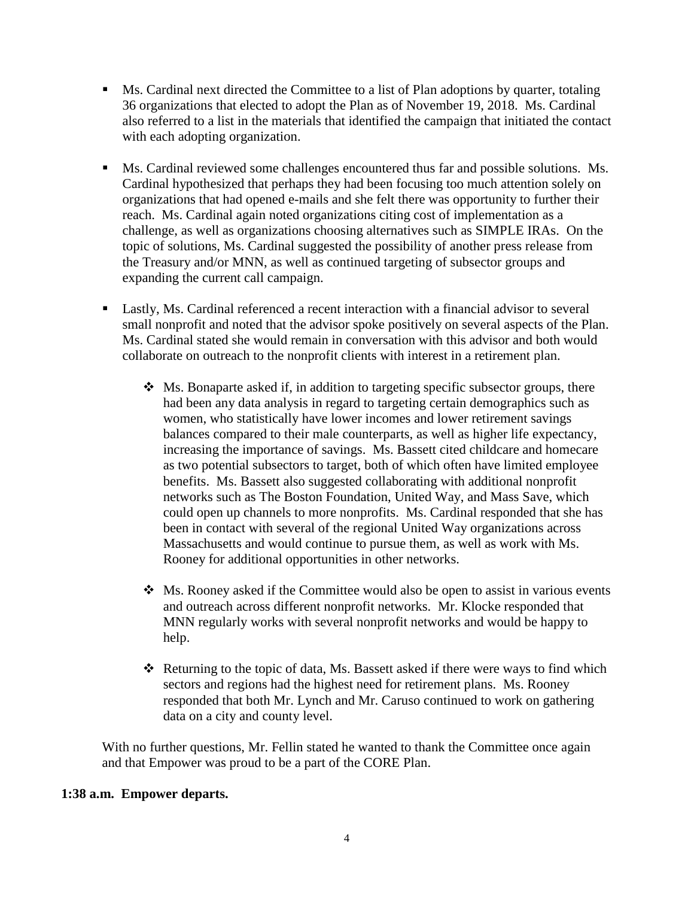- Ms. Cardinal next directed the Committee to a list of Plan adoptions by quarter, totaling 36 organizations that elected to adopt the Plan as of November 19, 2018. Ms. Cardinal also referred to a list in the materials that identified the campaign that initiated the contact with each adopting organization.
- Ms. Cardinal reviewed some challenges encountered thus far and possible solutions. Ms. Cardinal hypothesized that perhaps they had been focusing too much attention solely on organizations that had opened e-mails and she felt there was opportunity to further their reach. Ms. Cardinal again noted organizations citing cost of implementation as a challenge, as well as organizations choosing alternatives such as SIMPLE IRAs. On the topic of solutions, Ms. Cardinal suggested the possibility of another press release from the Treasury and/or MNN, as well as continued targeting of subsector groups and expanding the current call campaign.
- Lastly, Ms. Cardinal referenced a recent interaction with a financial advisor to several small nonprofit and noted that the advisor spoke positively on several aspects of the Plan. Ms. Cardinal stated she would remain in conversation with this advisor and both would collaborate on outreach to the nonprofit clients with interest in a retirement plan.
	- ❖ Ms. Bonaparte asked if, in addition to targeting specific subsector groups, there had been any data analysis in regard to targeting certain demographics such as women, who statistically have lower incomes and lower retirement savings balances compared to their male counterparts, as well as higher life expectancy, increasing the importance of savings. Ms. Bassett cited childcare and homecare as two potential subsectors to target, both of which often have limited employee benefits. Ms. Bassett also suggested collaborating with additional nonprofit networks such as The Boston Foundation, United Way, and Mass Save, which could open up channels to more nonprofits. Ms. Cardinal responded that she has been in contact with several of the regional United Way organizations across Massachusetts and would continue to pursue them, as well as work with Ms. Rooney for additional opportunities in other networks.
	- ❖ Ms. Rooney asked if the Committee would also be open to assist in various events and outreach across different nonprofit networks. Mr. Klocke responded that MNN regularly works with several nonprofit networks and would be happy to help.
	- $\div$  Returning to the topic of data, Ms. Bassett asked if there were ways to find which sectors and regions had the highest need for retirement plans. Ms. Rooney responded that both Mr. Lynch and Mr. Caruso continued to work on gathering data on a city and county level.

With no further questions, Mr. Fellin stated he wanted to thank the Committee once again and that Empower was proud to be a part of the CORE Plan.

## **1:38 a.m. Empower departs.**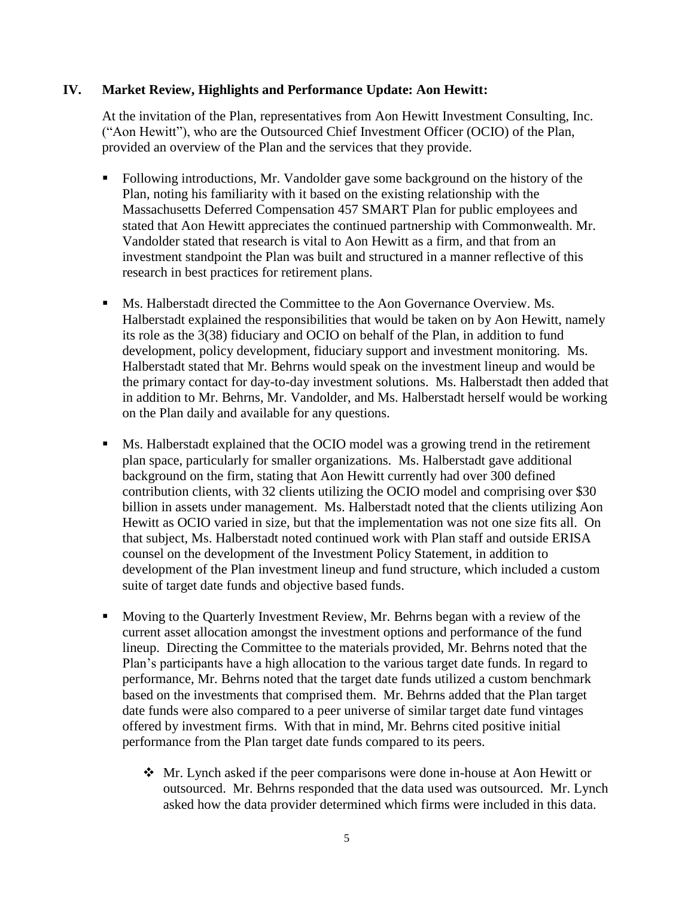## **IV. Market Review, Highlights and Performance Update: Aon Hewitt:**

At the invitation of the Plan, representatives from Aon Hewitt Investment Consulting, Inc. ("Aon Hewitt"), who are the Outsourced Chief Investment Officer (OCIO) of the Plan, provided an overview of the Plan and the services that they provide.

- Following introductions, Mr. Vandolder gave some background on the history of the Plan, noting his familiarity with it based on the existing relationship with the Massachusetts Deferred Compensation 457 SMART Plan for public employees and stated that Aon Hewitt appreciates the continued partnership with Commonwealth. Mr. Vandolder stated that research is vital to Aon Hewitt as a firm, and that from an investment standpoint the Plan was built and structured in a manner reflective of this research in best practices for retirement plans.
- Ms. Halberstadt directed the Committee to the Aon Governance Overview. Ms. Halberstadt explained the responsibilities that would be taken on by Aon Hewitt, namely its role as the 3(38) fiduciary and OCIO on behalf of the Plan, in addition to fund development, policy development, fiduciary support and investment monitoring. Ms. Halberstadt stated that Mr. Behrns would speak on the investment lineup and would be the primary contact for day-to-day investment solutions. Ms. Halberstadt then added that in addition to Mr. Behrns, Mr. Vandolder, and Ms. Halberstadt herself would be working on the Plan daily and available for any questions.
- Ms. Halberstadt explained that the OCIO model was a growing trend in the retirement plan space, particularly for smaller organizations. Ms. Halberstadt gave additional background on the firm, stating that Aon Hewitt currently had over 300 defined contribution clients, with 32 clients utilizing the OCIO model and comprising over \$30 billion in assets under management. Ms. Halberstadt noted that the clients utilizing Aon Hewitt as OCIO varied in size, but that the implementation was not one size fits all. On that subject, Ms. Halberstadt noted continued work with Plan staff and outside ERISA counsel on the development of the Investment Policy Statement, in addition to development of the Plan investment lineup and fund structure, which included a custom suite of target date funds and objective based funds.
- Moving to the Quarterly Investment Review, Mr. Behrns began with a review of the current asset allocation amongst the investment options and performance of the fund lineup. Directing the Committee to the materials provided, Mr. Behrns noted that the Plan's participants have a high allocation to the various target date funds. In regard to performance, Mr. Behrns noted that the target date funds utilized a custom benchmark based on the investments that comprised them. Mr. Behrns added that the Plan target date funds were also compared to a peer universe of similar target date fund vintages offered by investment firms. With that in mind, Mr. Behrns cited positive initial performance from the Plan target date funds compared to its peers.
	- ❖ Mr. Lynch asked if the peer comparisons were done in-house at Aon Hewitt or outsourced. Mr. Behrns responded that the data used was outsourced. Mr. Lynch asked how the data provider determined which firms were included in this data.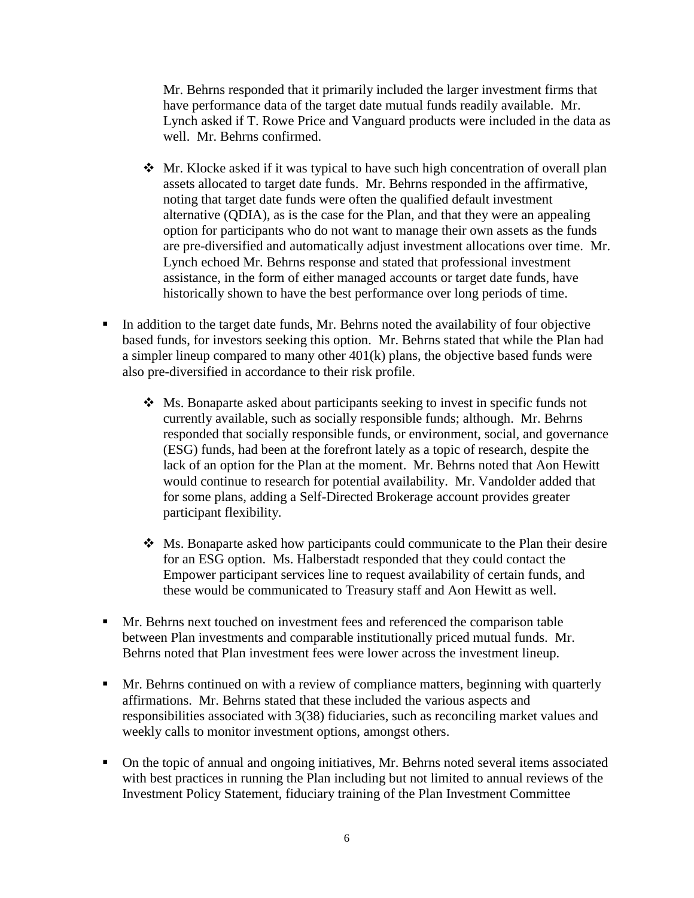Mr. Behrns responded that it primarily included the larger investment firms that have performance data of the target date mutual funds readily available. Mr. Lynch asked if T. Rowe Price and Vanguard products were included in the data as well. Mr. Behrns confirmed.

- ❖ Mr. Klocke asked if it was typical to have such high concentration of overall plan assets allocated to target date funds. Mr. Behrns responded in the affirmative, noting that target date funds were often the qualified default investment alternative (QDIA), as is the case for the Plan, and that they were an appealing option for participants who do not want to manage their own assets as the funds are pre-diversified and automatically adjust investment allocations over time. Mr. Lynch echoed Mr. Behrns response and stated that professional investment assistance, in the form of either managed accounts or target date funds, have historically shown to have the best performance over long periods of time.
- In addition to the target date funds, Mr. Behrns noted the availability of four objective based funds, for investors seeking this option. Mr. Behrns stated that while the Plan had a simpler lineup compared to many other 401(k) plans, the objective based funds were also pre-diversified in accordance to their risk profile.
	- ❖ Ms. Bonaparte asked about participants seeking to invest in specific funds not currently available, such as socially responsible funds; although. Mr. Behrns responded that socially responsible funds, or environment, social, and governance (ESG) funds, had been at the forefront lately as a topic of research, despite the lack of an option for the Plan at the moment. Mr. Behrns noted that Aon Hewitt would continue to research for potential availability. Mr. Vandolder added that for some plans, adding a Self-Directed Brokerage account provides greater participant flexibility.
	- ❖ Ms. Bonaparte asked how participants could communicate to the Plan their desire for an ESG option. Ms. Halberstadt responded that they could contact the Empower participant services line to request availability of certain funds, and these would be communicated to Treasury staff and Aon Hewitt as well.
- Mr. Behrns next touched on investment fees and referenced the comparison table between Plan investments and comparable institutionally priced mutual funds. Mr. Behrns noted that Plan investment fees were lower across the investment lineup.
- **I** Mr. Behrns continued on with a review of compliance matters, beginning with quarterly affirmations. Mr. Behrns stated that these included the various aspects and responsibilities associated with 3(38) fiduciaries, such as reconciling market values and weekly calls to monitor investment options, amongst others.
- On the topic of annual and ongoing initiatives, Mr. Behrns noted several items associated with best practices in running the Plan including but not limited to annual reviews of the Investment Policy Statement, fiduciary training of the Plan Investment Committee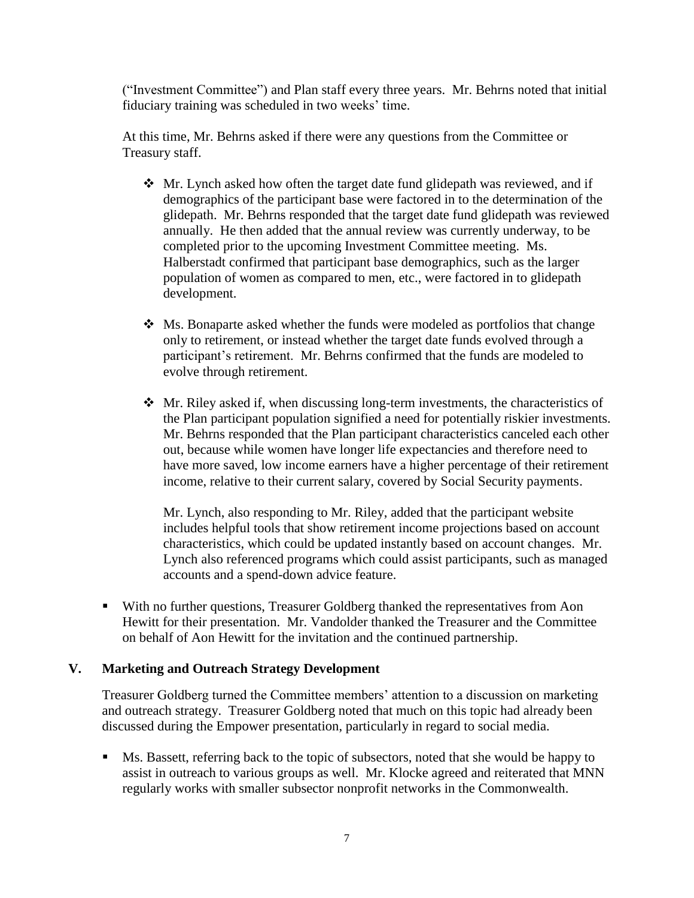("Investment Committee") and Plan staff every three years. Mr. Behrns noted that initial fiduciary training was scheduled in two weeks' time.

At this time, Mr. Behrns asked if there were any questions from the Committee or Treasury staff.

- ❖ Mr. Lynch asked how often the target date fund glidepath was reviewed, and if demographics of the participant base were factored in to the determination of the glidepath. Mr. Behrns responded that the target date fund glidepath was reviewed annually. He then added that the annual review was currently underway, to be completed prior to the upcoming Investment Committee meeting. Ms. Halberstadt confirmed that participant base demographics, such as the larger population of women as compared to men, etc., were factored in to glidepath development.
- ❖ Ms. Bonaparte asked whether the funds were modeled as portfolios that change only to retirement, or instead whether the target date funds evolved through a participant's retirement. Mr. Behrns confirmed that the funds are modeled to evolve through retirement.
- $\triangleleft$  Mr. Riley asked if, when discussing long-term investments, the characteristics of the Plan participant population signified a need for potentially riskier investments. Mr. Behrns responded that the Plan participant characteristics canceled each other out, because while women have longer life expectancies and therefore need to have more saved, low income earners have a higher percentage of their retirement income, relative to their current salary, covered by Social Security payments.

Mr. Lynch, also responding to Mr. Riley, added that the participant website includes helpful tools that show retirement income projections based on account characteristics, which could be updated instantly based on account changes. Mr. Lynch also referenced programs which could assist participants, such as managed accounts and a spend-down advice feature.

▪ With no further questions, Treasurer Goldberg thanked the representatives from Aon Hewitt for their presentation. Mr. Vandolder thanked the Treasurer and the Committee on behalf of Aon Hewitt for the invitation and the continued partnership.

# **V. Marketing and Outreach Strategy Development**

Treasurer Goldberg turned the Committee members' attention to a discussion on marketing and outreach strategy. Treasurer Goldberg noted that much on this topic had already been discussed during the Empower presentation, particularly in regard to social media.

■ Ms. Bassett, referring back to the topic of subsectors, noted that she would be happy to assist in outreach to various groups as well. Mr. Klocke agreed and reiterated that MNN regularly works with smaller subsector nonprofit networks in the Commonwealth.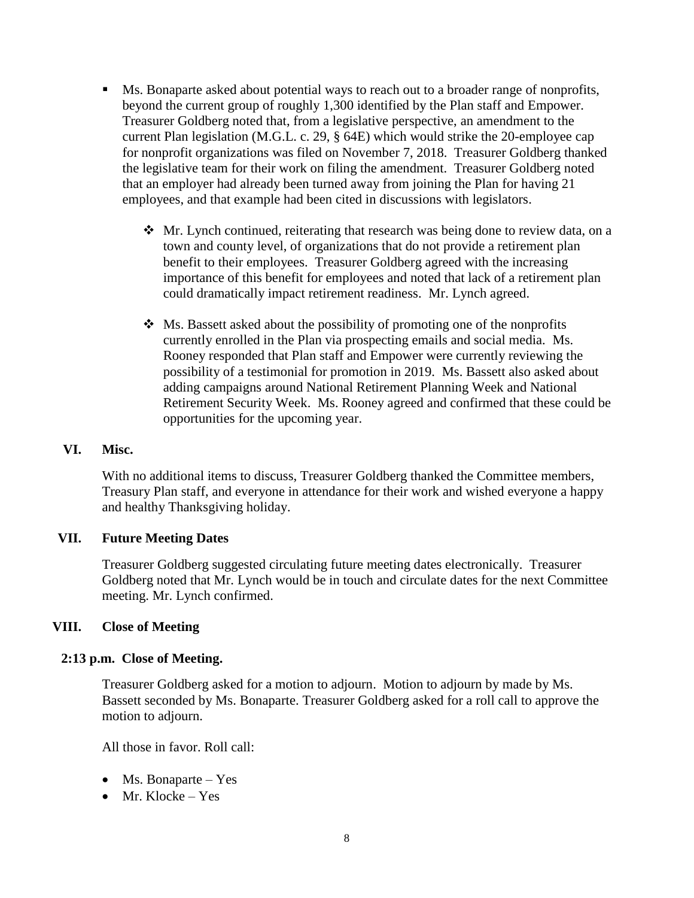- Ms. Bonaparte asked about potential ways to reach out to a broader range of nonprofits, beyond the current group of roughly 1,300 identified by the Plan staff and Empower. Treasurer Goldberg noted that, from a legislative perspective, an amendment to the current Plan legislation (M.G.L. c. 29, § 64E) which would strike the 20-employee cap for nonprofit organizations was filed on November 7, 2018. Treasurer Goldberg thanked the legislative team for their work on filing the amendment. Treasurer Goldberg noted that an employer had already been turned away from joining the Plan for having 21 employees, and that example had been cited in discussions with legislators.
	- ❖ Mr. Lynch continued, reiterating that research was being done to review data, on a town and county level, of organizations that do not provide a retirement plan benefit to their employees. Treasurer Goldberg agreed with the increasing importance of this benefit for employees and noted that lack of a retirement plan could dramatically impact retirement readiness. Mr. Lynch agreed.
	- ❖ Ms. Bassett asked about the possibility of promoting one of the nonprofits currently enrolled in the Plan via prospecting emails and social media. Ms. Rooney responded that Plan staff and Empower were currently reviewing the possibility of a testimonial for promotion in 2019. Ms. Bassett also asked about adding campaigns around National Retirement Planning Week and National Retirement Security Week. Ms. Rooney agreed and confirmed that these could be opportunities for the upcoming year.

## **VI. Misc.**

With no additional items to discuss, Treasurer Goldberg thanked the Committee members, Treasury Plan staff, and everyone in attendance for their work and wished everyone a happy and healthy Thanksgiving holiday.

### **VII. Future Meeting Dates**

Treasurer Goldberg suggested circulating future meeting dates electronically. Treasurer Goldberg noted that Mr. Lynch would be in touch and circulate dates for the next Committee meeting. Mr. Lynch confirmed.

### **VIII. Close of Meeting**

### **2:13 p.m. Close of Meeting.**

Treasurer Goldberg asked for a motion to adjourn. Motion to adjourn by made by Ms. Bassett seconded by Ms. Bonaparte. Treasurer Goldberg asked for a roll call to approve the motion to adjourn.

All those in favor. Roll call:

- Ms. Bonaparte Yes
- Mr. Klocke Yes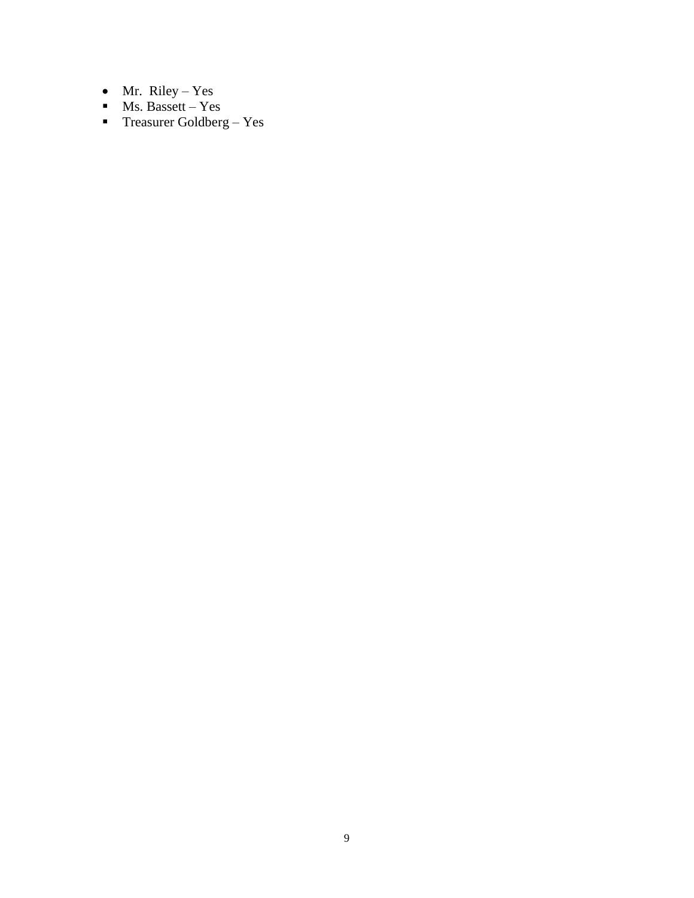- Mr. Riley Yes
- $\blacksquare$  Ms. Bassett Yes
- $\blacksquare$  Treasurer Goldberg Yes